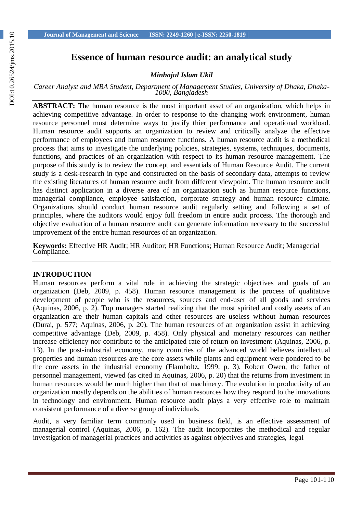# **Essence of human resource audit: an analytical study**

*Minhajul Islam Ukil*

*Career Analyst and MBA Student, Department of Management Studies, University of Dhaka, Dhaka-1000, Bangladesh*

**ABSTRACT:** The human resource is the most important asset of an organization, which helps in achieving competitive advantage. In order to response to the changing work environment, human resource personnel must determine ways to justify thier performance and operational workload. Human resource audit supports an organization to review and critically analyze the effective performance of employees and human resource functions. A human resource audit is a methodical process that aims to investigate the underlying policies, strategies, systems, techniques, documents, functions, and practices of an organization with respect to its human resource management. The purpose of this study is to review the concept and essentials of Human Resource Audit. The current study is a desk-research in type and constructed on the basis of secondary data, attempts to review the existing literatures of human resource audit from different viewpoint. The human resource audit has distinct application in a diverse area of an organization such as human resource functions, managerial compliance, employee satisfaction, corporate strategy and human resource climate. Organizations should conduct human resource audit regularly setting and following a set of principles, where the auditors would enjoy full freedom in entire audit process. The thorough and objective evaluation of a human resource audit can generate information necessary to the successful improvement of the entire human resources of an organization.

**Keywords:** Effective HR Audit; HR Auditor; HR Functions; Human Resource Audit; Managerial Compliance.

#### **INTRODUCTION**

Human resources perform a vital role in achieving the strategic objectives and goals of an organization (Deb, 2009, p. 458). Human resource management is the process of qualitative development of people who is the resources, sources and end-user of all goods and services (Aquinas, 2006, p. 2). Top managers started realizing that the most spirited and costly assets of an organization are their human capitals and other resources are useless without human resources (Durai, p. 577; Aquinas, 2006, p. 20). The human resources of an organization assist in achieving competitive advantage (Deb, 2009, p. 458). Only physical and monetary resources can neither increase efficiency nor contribute to the anticipated rate of return on investment (Aquinas, 2006, p. 13). In the post-industrial economy, many countries of the advanced world believes intellectual properties and human resources are the core assets while plants and equipment were pondered to be the core assets in the industrial economy (Flamholtz, 1999, p. 3). Robert Owen, the father of personnel management, viewed (as cited in Aquinas, 2006, p. 20) that the returns from investment in human resources would be much higher than that of machinery. The evolution in productivity of an organization mostly depends on the abilities of human resources how they respond to the innovations in technology and environment. Human resource audit plays a very effective role to maintain consistent performance of a diverse group of individuals.

Audit, a very familiar term commonly used in business field, is an effective assessment of managerial control (Aquinas, 2006, p. 162). The audit incorporates the methodical and regular investigation of managerial practices and activities as against objectives and strategies, legal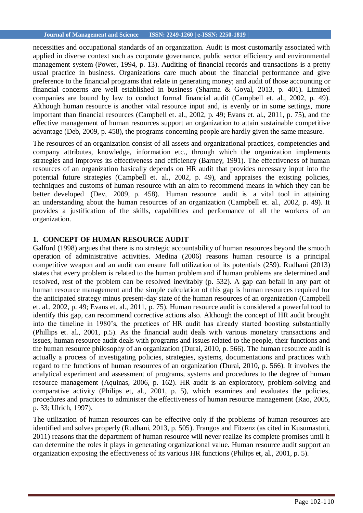#### **Journal of Management and Science ISSN: 2249-1260 | e-ISSN: 2250-1819 |**

necessities and occupational standards of an organization. Audit is most customarily associated with applied in diverse context such as corporate governance, public sector efficiency and environmental management system (Power, 1994, p. 13). Auditing of financial records and transactions is a pretty usual practice in business. Organizations care much about the financial performance and give preference to the financial programs that relate in generating money; and audit of those accounting or financial concerns are well established in business (Sharma & Goyal, 2013, p. 401). Limited companies are bound by law to conduct formal financial audit (Campbell et. al., 2002, p. 49). Although human resource is another vital resource input and, is evenly or in some settings, more important than financial resources (Campbell et. al., 2002, p. 49; Evans et. al., 2011, p. 75), and the effective management of human resources support an organization to attain sustainable competitive advantage (Deb, 2009, p. 458), the programs concerning people are hardly given the same measure.

The resources of an organization consist of all assets and organizational practices, competencies and company attributes, knowledge, information etc., through which the organization implements strategies and improves its effectiveness and efficiency (Barney, 1991). The effectiveness of human resources of an organization basically depends on HR audit that provides necessary input into the potential future strategies (Campbell et. al., 2002, p. 49), and appraises the existing policies, techniques and customs of human resource with an aim to recommend means in which they can be better developed (Dev, 2009, p. 458). Human resource audit is a vital tool in attaining an understanding about the human resources of an organization (Campbell et. al., 2002, p. 49). It provides a justification of the skills, capabilities and performance of all the workers of an organization.

## **1. CONCEPT OF HUMAN RESOURCE AUDIT**

Galford (1998) argues that there is no strategic accountability of human resources beyond the smooth operation of administrative activities. Medina (2006) reasons human resource is a principal competitive weapon and an audit can ensure full utilization of its potentials (259). Rudhani (2013) states that every problem is related to the human problem and if human problems are determined and resolved, rest of the problem can be resolved inevitably (p. 532). A gap can befall in any part of human resource management and the simple calculation of this gap is human resources required for the anticipated strategy minus present-day state of the human resources of an organization (Campbell et. al., 2002, p. 49; Evans et. al., 2011, p. 75). Human resource audit is considered a powerful tool to identify this gap, can recommend corrective actions also. Although the concept of HR audit brought into the timeline in 1980's, the practices of HR audit has already started boosting substantially (Phillips et. al., 2001, p.5). As the financial audit deals with various monetary transactions and issues, human resource audit deals with programs and issues related to the people, their functions and the human resource philosophy of an organization (Durai, 2010, p. 566). The human resource audit is actually a process of investigating policies, strategies, systems, documentations and practices with regard to the functions of human resources of an organization (Durai, 2010, p. 566). It involves the analytical experiment and assessment of programs, systems and procedures to the degree of human resource management (Aquinas, 2006, p. 162). HR audit is an exploratory, problem-solving and comparative activity (Philips et, al., 2001, p. 5), which examines and evaluates the policies, procedures and practices to administer the effectiveness of human resource management (Rao, 2005, p. 33; Ulrich, 1997).

The utilization of human resources can be effective only if the problems of human resources are identified and solves properly (Rudhani, 2013, p. 505). Frangos and Fitzenz (as cited in Kusumastuti, 2011) reasons that the department of human resource will never realize its complete promises until it can determine the roles it plays in generating organizational value. Human resource audit support an organization exposing the effectiveness of its various HR functions (Philips et, al., 2001, p. 5).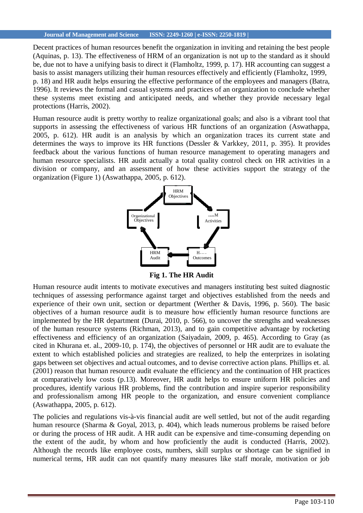#### **Journal of Management and Science ISSN: 2249-1260 | e-ISSN: 2250-1819 |**

Decent practices of human resources benefit the organization in inviting and retaining the best people (Aquinas, p. 13). The effectiveness of HRM of an organization is not up to the standard as it should be, due not to have a unifying basis to direct it (Flamholtz, 1999, p. 17). HR accounting can suggest a basis to assist managers utilizing their human resources effectively and efficiently (Flamholtz, 1999, p. 18) and HR audit helps ensuring the effective performance of the employees and managers (Batra, 1996). It reviews the formal and casual systems and practices of an organization to conclude whether these systems meet existing and anticipated needs, and whether they provide necessary legal protections (Harris, 2002).

Human resource audit is pretty worthy to realize organizational goals; and also is a vibrant tool that supports in assessing the effectiveness of various HR functions of an organization (Aswathappa, 2005, p. 612). HR audit is an analysis by which an organization traces its current state and determines the ways to improve its HR functions (Dessler & Varkkey, 2011, p. 395). It provides feedback about the various functions of human resource management to operating managers and human resource specialists. HR audit actually a total quality control check on HR activities in a division or company, and an assessment of how these activities support the strategy of the organization (Figure 1) (Aswathappa, 2005, p. 612).



**Fig 1. The HR Audit**

Human resource audit intents to motivate executives and managers instituting best suited diagnostic techniques of assessing performance against target and objectives established from the needs and experience of their own unit, section or department (Werther & Davis, 1996, p. 560). The basic objectives of a human resource audit is to measure how efficiently human resource functions are implemented by the HR department (Durai, 2010, p. 566), to uncover the strengths and weaknesses of the human resource systems (Richman, 2013), and to gain competitive advantage by rocketing effectiveness and efficiency of an organization (Saiyadain, 2009, p. 465). According to Gray (as cited in Khurana et. al., 2009-10, p. 174), the objectives of personnel or HR audit are to evaluate the extent to which established policies and strategies are realized, to help the enterprizes in isolating gaps between set objectives and actual outcomes, and to devise corrective action plans. Phillips et. al. (2001) reason that human resource audit evaluate the efficiency and the continuation of HR practices at comparatively low costs (p.13). Moreover, HR audit helps to ensure uniform HR policies and procedures, identify various HR problems, find the contribution and inspire superior responsibility and professionalism among HR people to the organization, and ensure convenient compliance (Aswathappa, 2005, p. 612).

The policies and regulations vis-à-vis financial audit are well settled, but not of the audit regarding human resource (Sharma & Goyal, 2013, p. 404), which leads numerous problems be raised before or during the process of HR audit. A HR audit can be expensive and time-consuming depending on the extent of the audit, by whom and how proficiently the audit is conducted (Harris, 2002). Although the records like employee costs, numbers, skill surplus or shortage can be signified in numerical terms, HR audit can not quantify many measures like staff morale, motivation or job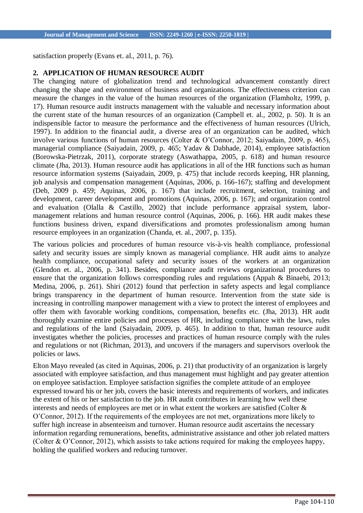satisfaction properly (Evans et. al., 2011, p. 76).

# **2. APPLICATION OF HUMAN RESOURCE AUDIT**

The changing nature of globalization trend and technological advancement constantly direct changing the shape and environment of business and organizations. The effectiveness criterion can measure the changes in the value of the human resources of the organization (Flamholtz, 1999, p. 17). Human resource audit instructs management with the valuable and necessary information about the current state of the human resources of an organization (Campbell et. al., 2002, p. 50). It is an indispensible factor to measure the performance and the effectiveness of human resources (Ulrich, 1997). In addition to the financial audit, a diverse area of an organization can be audited, which involve various functions of human resources (Colter & O'Connor, 2012; Saiyadain, 2009, p. 465), managerial compliance (Saiyadain, 2009, p. 465; Yadav & Dabhade, 2014), employee satisfaction (Borowska-Pietrzak, 2011), corporate strategy (Aswathappa, 2005, p. 618) and human resource climate (Jha, 2013). Human resource audit has applications in all of the HR functions such as human resource information systems (Saiyadain, 2009, p. 475) that include records keeping, HR planning, job analysis and compensation management (Aquinas, 2006, p. 166-167); staffing and development (Deb, 2009 p. 459; Aquinas, 2006, p. 167) that include recruitment, selection, training and development, career development and promotions (Aquinas, 2006, p. 167); and organization control and evaluation (Olalla & Castillo, 2002) that include performance appraisal system, labormanagement relations and human resource control (Aquinas, 2006, p. 166). HR audit makes these functions business driven, expand diversifications and promotes professionalism among human resource employees in an organization (Chanda, et. al., 2007, p. 135).

The various policies and procedures of human resource vis-à-vis health compliance, professional safety and security issues are simply known as managerial compliance. HR audit aims to analyze health compliance, occupational safety and security issues of the workers at an organization (Glendon et. al., 2006, p. 341). Besides, compliance audit reviews organizational procedures to ensure that the organization follows corresponding rules and regulations (Appah & Binaebi, 2013; Medina, 2006, p. 261). Shiri (2012) found that perfection in safety aspects and legal compliance brings transparency in the department of human resource. Intervention from the state side is increasing in controlling manpower management with a view to protect the interest of employees and offer them with favorable working conditions, compensation, benefits etc. (Jha, 2013). HR audit thoroughly examine entire policies and processes of HR, including compliance with the laws, rules and regulations of the land (Saiyadain, 2009, p. 465). In addition to that, human resource audit investigates whether the policies, processes and practices of human resource comply with the rules and regulations or not (Richman, 2013), and uncovers if the managers and supervisors overlook the policies or laws.

Elton Mayo revealed (as cited in Aquinas, 2006, p. 21) that productivity of an organization is largely associated with employee satisfaction, and thus management must highlight and pay greater attention on employee satisfaction. Employee satisfaction signifies the complete attitude of an employee expressed toward his or her job, covers the basic interests and requirements of workers, and indicates the extent of his or her satisfaction to the job. HR audit contributes in learning how well these interests and needs of employees are met or in what extent the workers are satisfied (Colter & O'Connor, 2012). If the requirements of the employees are not met, organizations more likely to suffer high increase in absenteeism and turnover. Human resource audit ascertains the necessary information regarding remunerations, benefits, administrative assistance and other job related matters (Colter & O'Connor, 2012), which assists to take actions required for making the employees happy, holding the qualified workers and reducing turnover.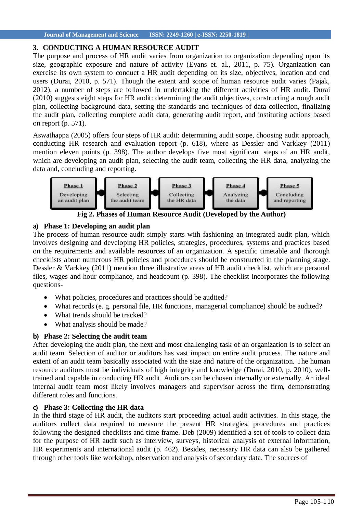# **3. CONDUCTING A HUMAN RESOURCE AUDIT**

The purpose and process of HR audit varies from organization to organization depending upon its size, geographic exposure and nature of activity (Evans et. al., 2011, p. 75). Organization can exercise its own system to conduct a HR audit depending on its size, objectives, location and end users (Durai, 2010, p. 571). Though the extent and scope of human resource audit varies (Pajak, 2012), a number of steps are followed in undertaking the different activities of HR audit. Durai (2010) suggests eight steps for HR audit: determining the audit objectives, constructing a rough audit plan, collecting background data, setting the standards and techniques of data collection, finalizing the audit plan, collecting complete audit data, generating audit report, and instituting actions based on report (p. 571).

Aswathappa (2005) offers four steps of HR audit: determining audit scope, choosing audit approach, conducting HR research and evaluation report (p. 618), where as Dessler and Varkkey (2011) mention eleven points (p. 398). The author develops five most significant steps of an HR audit, which are developing an audit plan, selecting the audit team, collecting the HR data, analyzing the data and, concluding and reporting.



**Fig 2. Phases of Human Resource Audit (Developed by the Author)**

# **a) Phase 1: Developing an audit plan**

The process of human resource audit simply starts with fashioning an integrated audit plan, which involves designing and developing HR policies, strategies, procedures, systems and practices based on the requirements and available resources of an organization. A specific timetable and thorough checklists about numerous HR policies and procedures should be constructed in the planning stage. Dessler & Varkkey (2011) mention three illustrative areas of HR audit checklist, which are personal files, wages and hour compliance, and headcount (p. 398). The checklist incorporates the following questions-

- What policies, procedures and practices should be audited?
- What records (e. g. personal file, HR functions, managerial compliance) should be audited?
- What trends should be tracked?
- What analysis should be made?

# **b) Phase 2: Selecting the audit team**

After developing the audit plan, the next and most challenging task of an organization is to select an audit team. Selection of auditor or auditors has vast impact on entire audit process. The nature and extent of an audit team basically associated with the size and nature of the organization. The human resource auditors must be individuals of high integrity and knowledge (Durai, 2010, p. 2010), welltrained and capable in conducting HR audit. Auditors can be chosen internally or externally. An ideal internal audit team most likely involves managers and supervisor across the firm, demonstrating different roles and functions.

# **c) Phase 3: Collecting the HR data**

In the third stage of HR audit, the auditors start proceeding actual audit activities. In this stage, the auditors collect data required to measure the present HR strategies, procedures and practices following the designed checklists and time frame. Deb (2009) identified a set of tools to collect data for the purpose of HR audit such as interview, surveys, historical analysis of external information, HR experiments and international audit (p. 462). Besides, necessary HR data can also be gathered through other tools like workshop, observation and analysis of secondary data. The sources of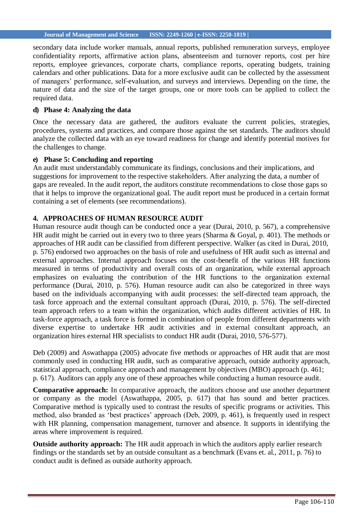secondary data include worker manuals, annual reports, published remuneration surveys, employee confidentiality reports, affirmative action plans, absenteeism and turnover reports, cost per hire reports, employee grievances, corporate charts, compliance reports, operating budgets, training calendars and other publications. Data for a more exclusive audit can be collected by the assessment of managers' performance, self-evaluation, and surveys and interviews. Depending on the time, the nature of data and the size of the target groups, one or more tools can be applied to collect the required data.

## **d) Phase 4: Analyzing the data**

Once the necessary data are gathered, the auditors evaluate the current policies, strategies, procedures, systems and practices, and compare those against the set standards. The auditors should analyze the collected data with an eye toward readiness for change and identify potential motives for the challenges to change.

### **e) Phase 5: Concluding and reporting**

An audit must understandably communicate its findings, conclusions and their implications, and suggestions for improvement to the respective stakeholders. After analyzing the data, a number of gaps are revealed. In the audit report, the auditors constitute recommendations to close those gaps so that it helps to improve the organizational goal. The audit report must be produced in a certain format containing a set of elements (see recommendations).

## **4. APPROACHES OF HUMAN RESOURCE AUDIT**

Human resource audit though can be conducted once a year (Durai, 2010, p. 567), a comprehensive HR audit might be carried out in every two to three years (Sharma & Goyal, p. 401). The methods or approaches of HR audit can be classified from different perspective. Walker (as cited in Durai, 2010, p. 576) endorsed two approaches on the basis of role and usefulness of HR audit such as internal and external approaches. Internal approach focuses on the cost-benefit of the various HR functions measured in terms of productivity and overall costs of an organization, while external approach emphasizes on evaluating the contribution of the HR functions to the organization external performance (Durai, 2010, p. 576). Human resource audit can also be categorized in three ways based on the individuals accompanying with audit processes: the self-directed team approach, the task force approach and the external consultant approach (Durai, 2010, p. 576). The self-directed team approach refers to a team within the organization, which audits different activities of HR. In task-force approach, a task force is formed in combination of people from different departments with diverse expertise to undertake HR audit activities and in external consultant approach, an organization hires external HR specialists to conduct HR audit (Durai, 2010, 576-577).

Deb (2009) and Aswathappa (2005) advocate five methods or approaches of HR audit that are most commonly used in conducting HR audit, such as comparative approach, outside authority approach, statistical approach, compliance approach and management by objectives (MBO) approach (p. 461; p. 617). Auditors can apply any one of these approaches while conducting a human resource audit.

**Comparative approach:** In comparative approach, the auditors choose and use another department or company as the model (Aswathappa, 2005, p. 617) that has sound and better practices. Comparative method is typically used to contrast the results of specific programs or activities. This method, also branded as 'best practices' approach (Deb, 2009, p. 461), is frequently used in respect with HR planning, compensation management, turnover and absence. It supports in identifying the areas where improvement is required.

**Outside authority approach:** The HR audit approach in which the auditors apply earlier research findings or the standards set by an outside consultant as a benchmark (Evans et. al., 2011, p. 76) to conduct audit is defined as outside authority approach.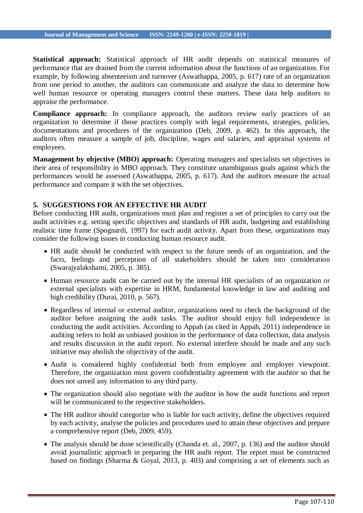**Statistical approach:** Statistical approach of HR audit depends on statistical measures of performance that are drained from the current information about the functions of an organization. For example, by following absenteeism and turnover (Aswathappa, 2005, p. 617) rate of an organization from one period to another, the auditors can communicate and analyze the data to determine how well human resource or operating managers control these matters. These data help auditors to appraise the performance.

**Compliance approach:** In compliance approach, the auditors review early practices of an organization to determine if those practices comply with legal requirements, strategies, policies, documentations and procedures of the organization (Deb, 2009, p. 462). In this approach, the auditors often measure a sample of job, discipline, wages and salaries, and appraisal systems of employees.

**Management by objective (MBO) approach:** Operating managers and specialists set objectives in their area of responsibility in MBO approach. They constitute unambiguous goals against which the performances would be assessed (Aswathappa, 2005, p. 617). And the auditors measure the actual performance and compare it with the set objectives.

# **5. SUGGESTIONS FOR AN EFFECTIVE HR AUDIT**

Before conducting HR audit, organizations must plan and register a set of principles to carry out the audit activities e.g. setting specific objectives and standards of HR audit, budgeting and establishing realistic time frame (Spognardi, 1997) for each audit activity. Apart from these, organizations may consider the following issues in conducting human resource audit.

- HR audit should be conducted with respect to the future needs of an organization, and the facts, feelings and perception of all stakeholders should be taken into consideration (Swarajyalakshami, 2005, p. 385).
- Human resource audit can be carried out by the internal HR specialists of an organization or external specialists with expertise in HRM, fundamental knowledge in law and auditing and high credibility (Durai, 2010, p. 567).
- Regardless of internal or external auditor, organizations need to check the background of the auditor before assigning the audit tasks. The auditor should enjoy full independence in conducting the audit activities. According to Appah (as cited in Appah, 2011) independence in auditing refers to hold an unbiased position in the performance of data collection, data analysis and results discussion in the audit report. No external interfere should be made and any such initiative may abolish the objectivity of the audit.
- Audit is considered highly confidential both from employee and employer viewpoint. Therefore, the organization must govern confidentiality agreement with the auditor so that he does not unveil any information to any third party.
- The organization should also negotiate with the auditor in how the audit functions and report will be communicated to the respective stakeholders.
- The HR auditor should categorize who is liable for each activity, define the objectives required by each activity, analyse the policies and procedures used to attain these objectives and prepare a comprehensive report (Deb, 2009, 459).
- The analysis should be done scientifically (Chanda et. al., 2007, p. 136) and the auditor should avoid journalistic approach in preparing the HR audit report. The report must be constructed based on findings (Sharma & Goyal, 2013, p. 403) and comprising a set of elements such as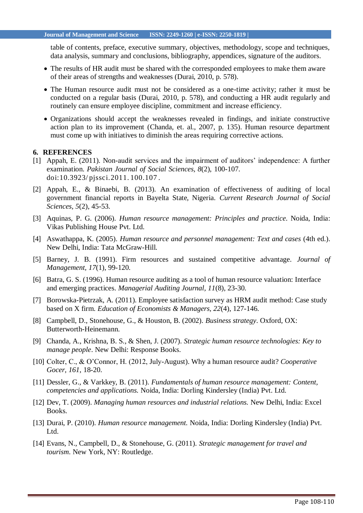table of contents, preface, executive summary, objectives, methodology, scope and techniques, data analysis, summary and conclusions, bibliography, appendices, signature of the auditors.

- The results of HR audit must be shared with the corresponded employees to make them aware of their areas of strengths and weaknesses (Durai, 2010, p. 578).
- The Human resource audit must not be considered as a one-time activity; rather it must be conducted on a regular basis (Durai, 2010, p. 578), and conducting a HR audit regularly and routinely can ensure employee discipline, commitment and increase efficiency.
- Organizations should accept the weaknesses revealed in findings, and initiate constructive action plan to its improvement (Chanda, et. al., 2007, p. 135). Human resource department must come up with initiatives to diminish the areas requiring corrective actions.

#### **6. REFERENCES**

- [1] Appah, E. (2011). Non-audit services and the impairment of auditors' independence: A further examination. *Pakistan Journal of Social Sciences, 8*(2), 100-107. doi:10.3923/ [pjssci.2011.](http://dx.doi.org/10.3923/pjssci.2011.100.107) 100.107 .
- [2] Appah, E., & Binaebi, B. (2013). An examination of effectiveness of auditing of local government financial reports in Bayelta State, Nigeria. *Current Research Journal of Social Sciences, 5*(2), 45-53.
- [3] Aquinas, P. G. (2006). *Human resource management: Principles and practice*. Noida, India: Vikas Publishing House Pvt. Ltd.
- [4] Aswathappa, K. (2005). *Human resource and personnel management: Text and cases* (4th ed.). New Delhi, India: Tata McGraw-Hill.
- [5] Barney, J. B. (1991). Firm resources and sustained competitive advantage. *Journal of Management, 17*(1), 99-120.
- [6] Batra, G. S. (1996). Human resource auditing as a tool of human resource valuation: Interface and emerging practices. *Managerial Auditing Journal, 11*(8), 23-30.
- [7] Borowska-Pietrzak, A. (2011). Employee satisfaction survey as HRM audit method: Case study based on X firm. *Education of Economists & Managers, 22*(4), 127-146.
- [8] Campbell, D., Stonehouse, G., & Houston, B. (2002). *Business strategy*. Oxford, OX: Butterworth-Heinemann.
- [9] Chanda, A., Krishna, B. S., & Shen, J. (2007). *Strategic human resource technologies: Key to manage people*. New Delhi: Response Books.
- [10] Colter, C., & O'Connor, H. (2012, July-August). Why a human resource audit? *Cooperative Gocer, 161*, 18-20.
- [11] Dessler, G., & Varkkey, B. (2011). *Fundamentals of human resource management: Content, competencies and applications.* Noida, India: Dorling Kindersley (India) Pvt. Ltd.
- [12] Dev, T. (2009). *Managing human resources and industrial relations.* New Delhi, India: Excel Books.
- [13] Durai, P. (2010). *Human resource management.* Noida, India: Dorling Kindersley (India) Pvt. Ltd.
- [14] Evans, N., Campbell, D., & Stonehouse, G. (2011). *Strategic management for travel and tourism*. New York, NY: Routledge.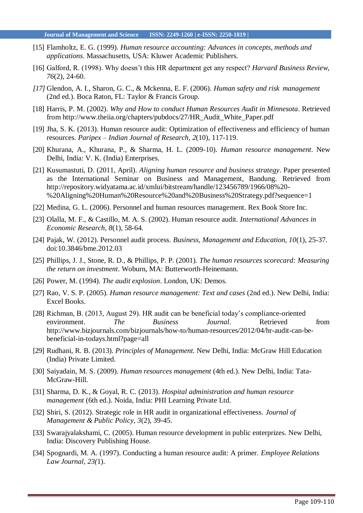- [15] Flamholtz, E. G. (1999). *Human resource accounting: Advances in concepts, methods and applications*. Massachusetts, USA: Kluwer Academic Publishers.
- [16] Galford, R. (1998). Why doesn't this HR department get any respect? *Harvard Business Review, 76*(2), 24-60.
- *[17]* Glendon, A. I., Sharon, G. C., & Mckenna, E. F. (2006). *Human safety and risk management* (2nd ed.). Boca Raton, FL: Taylor & Francis Group.
- [18] Harris, P. M. (2002). *Why and How to conduct Human Resources Audit in Minnesota*. Retrieved from [http://www.theiia.org/chapters/pubdocs/27/HR\\_Audit\\_White\\_Paper.pdf](http://www.theiia.org/chapters/pubdocs/27/HR_Audit_White_Paper.pdf)
- [19] Jha, S. K. (2013). Human resource audit: Optimization of effectiveness and efficiency of human resources. *Paripex – Indian Journal of Research, 2*(10), 117-119.
- [20] Khurana, A., Khurana, P., & Sharma, H. L. (2009-10). *Human resource management*. New Delhi, India: V. K. (India) Enterprises.
- [21] Kusumastuti, D. (2011, April). *Aligning human resource and business strategy*. Paper presented as the International Seminar on Business and Management, Bandung. Retrieved from <http://repository.widyatama.ac.id/xmlui/bitstream/handle/123456789/1966/08%20-> %20Aligning%20Human%20Resource%20and%20Business%20Strategy.pdf?sequence=1
- [22] Medina, G. L. (2006). Personnel and human resources management. Rex Book Store Inc.
- [23] Olalla, M. F., & Castillo, M. A. S. (2002). Human resource audit. *International Advances in Economic Research, 8*(1), 58-64.
- [24] Pajak, W. (2012). Personnel audit process. *Business, Management and Education, 10*(1), 25-37. doi:10.3846/bme.2012.03
- [25] Phillips, J. J., Stone, R. D., & Phillips, P. P. (2001). *The human resources scorecard: Measuring the return on investment*. Woburn, MA: Butterworth-Heinemann.
- [26] Power, M. (1994). *The audit explosion*. London, UK: Demos.
- [27] Rao, V. S. P. (2005). *Human resource management: Text and cases* (2nd ed.). New Delhi, India: Excel Books.
- [28] Richman, B. (2013, August 29). HR audit can be beneficial today's compliance-oriented environment. *The Business Journal*. Retrieved from [http://www.bizjournals.com/bizjournals/how-to/human-resources/2012/04/hr-audit-can-be](http://www.bizjournals.com/bizjournals/how-to/human-resources/2012/04/hr-audit-can-be-)beneficial-in-todays.html?page=all
- [29] Rudhani, R. B. (2013). *Principles of Management.* New Delhi, India: McGraw Hill Education (India) Private Limited.
- [30] Saiyadain, M. S. (2009). *Human resources management* (4th ed.). New Delhi, India: Tata-McGraw-Hill.
- [31] Sharma, D. K., & Goyal, R. C. (2013). *Hospital administration and human resource management* (6th ed.). Noida, India: PHI Learning Private Ltd.
- [32] Shiri, S. (2012). Strategic role in HR audit in organizational effectiveness. *Journal of Management & Public Policy, 3*(2), 39-45.
- [33] Swarajyalakshami, C. (2005). Human resource development in public enterprizes. New Delhi, India: Discovery Publishing House.
- [34] Spognardi, M. A. (1997). Conducting a human resource audit: A primer. *Employee Relations Law Journal, 23(*1).